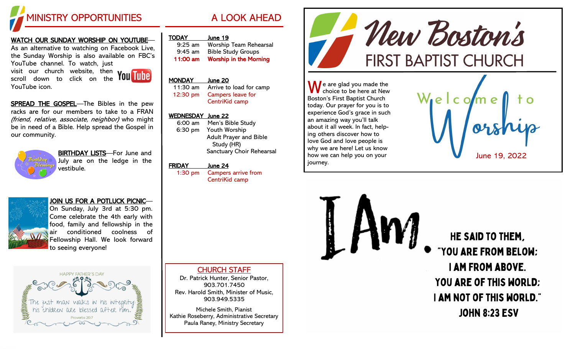

#### WATCH OUR SUNDAY WORSHIP ON YOUTUBE—

As an alternative to watching on Facebook Live, the Sunday Worship is also available on FBC's YouTube channel. To watch, just visit our church website, then

scroll down to click on the

SPREAD THE GOSPEL-The Bibles in the pew racks are for our members to take to a FRAN (friend, relative, associate, neighbor) who might be in need of a Bible. Help spread the Gospel in our community.



YouTube icon.

BIRTHDAY LISTS—For June and July are on the ledge in the vestibule.

### JOIN US FOR A POTLUCK PICNIC—



On Sunday, July 3rd at 5:30 pm. Come celebrate the 4th early with food, family and fellowship in the air conditioned coolness of Fellowship Hall. We look forward to seeing everyone!



## TODAY June 19

| $9:25$ am | <b>Worship Team Rehearsal</b> |
|-----------|-------------------------------|
| $9:45$ am | <b>Bible Study Groups</b>     |
| 11:00 am  | <b>Worship in the Morning</b> |

# MONDAY June 20

11:30 am Arrive to load for camp 12:30 pm Campers leave for CentriKid camp

#### WEDNESDAY June 22

| 6:00 am | Men's Bible Study             |
|---------|-------------------------------|
| 6:30 pm | <b>Youth Worship</b>          |
|         | <b>Adult Prayer and Bible</b> |
|         | Study (HR)                    |
|         | Sanctuary Choir Rehearsal     |

#### FRIDAY June 24

1:30 pm Campers arrive from CentriKid camp

ing others discover how to love God and love people is why we are here! Let us know how we can help you on your journey.

 $\bigwedge$  e are glad you made the choice to be here at New

Boston's First Baptist Church today. Our prayer for you is to experience God's grace in such an amazing way you'll talk about it all week. In fact, help-



New Boston's

**FIRST BAPTIST CHURCH** 

HE SAID TO THEM. "YOU ARE FROM BELOW: **I AM FROM ABOVE. YOU ARE OF THIS WORLD: I AM NOT OF THIS WORLD." JOHN 8:23 ESV** 

#### CHURCH STAFF

Dr. Patrick Hunter, Senior Pastor, 903.701.7450 Rev. Harold Smith, Minister of Music, 903.949.5335

Michele Smith, Pianist Kathie Roseberry, Administrative Secretary Paula Raney, Ministry Secretary